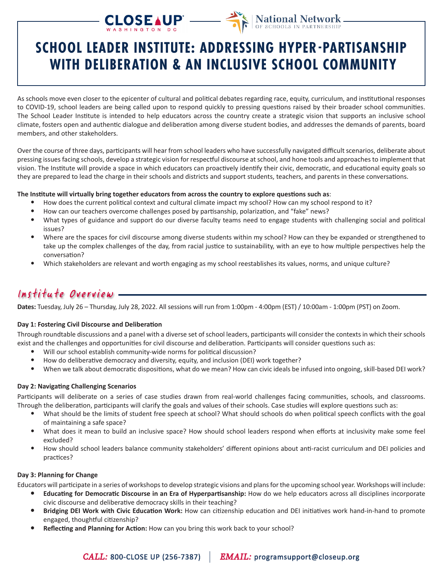# CLOSEAUP<sup>'</sup>



## **SCHOOL LEADER INSTITUTE: ADDRESSING HYPER-PARTISANSHIP WITH DELIBERATION & AN INCLUSIVE SCHOOL COMMUNITY**

As schools move even closer to the epicenter of cultural and political debates regarding race, equity, curriculum, and institutional responses to COVID-19, school leaders are being called upon to respond quickly to pressing questions raised by their broader school communities. The School Leader Institute is intended to help educators across the country create a strategic vision that supports an inclusive school climate, fosters open and authentic dialogue and deliberation among diverse student bodies, and addresses the demands of parents, board members, and other stakeholders.

Over the course of three days, participants will hear from school leaders who have successfully navigated difficult scenarios, deliberate about pressing issues facing schools, develop a strategic vision for respectful discourse at school, and hone tools and approaches to implement that vision. The Institute will provide a space in which educators can proactively identify their civic, democratic, and educational equity goals so they are prepared to lead the charge in their schools and districts and support students, teachers, and parents in these conversations.

### **The Institute will virtually bring together educators from across the country to explore questions such as**:

- How does the current political context and cultural climate impact my school? How can my school respond to it?
- How can our teachers overcome challenges posed by partisanship, polarization, and "fake" news?
- What types of guidance and support do our diverse faculty teams need to engage students with challenging social and political issues?
- Where are the spaces for civil discourse among diverse students within my school? How can they be expanded or strengthened to take up the complex challenges of the day, from racial justice to sustainability, with an eye to how multiple perspectives help the conversation?
- Which stakeholders are relevant and worth engaging as my school reestablishes its values, norms, and unique culture?

### Institute Overview

**Dates:** Tuesday, July 26 – Thursday, July 28, 2022. All sessions will run from 1:00pm - 4:00pm (EST) / 10:00am - 1:00pm (PST) on Zoom.

### **Day 1: Fostering Civil Discourse and Deliberation**

Through roundtable discussions and a panel with a diverse set of school leaders, participants will consider the contexts in which their schools exist and the challenges and opportunities for civil discourse and deliberation. Participants will consider questions such as:

- Will our school establish community-wide norms for political discussion?
- How do deliberative democracy and diversity, equity, and inclusion (DEI) work together?
- When we talk about democratic dispositions, what do we mean? How can civic ideals be infused into ongoing, skill-based DEI work?

### **Day 2: Navigating Challenging Scenarios**

Participants will deliberate on a series of case studies drawn from real-world challenges facing communities, schools, and classrooms. Through the deliberation, participants will clarify the goals and values of their schools. Case studies will explore questions such as:

- What should be the limits of student free speech at school? What should schools do when political speech conflicts with the goal of maintaining a safe space?
- What does it mean to build an inclusive space? How should school leaders respond when efforts at inclusivity make some feel excluded?
- How should school leaders balance community stakeholders' different opinions about anti-racist curriculum and DEI policies and practices?

### **Day 3: Planning for Change**

Educators will participate in a series of workshops to develop strategic visions and plans for the upcoming school year. Workshops will include:

- **• Educating for Democratic Discourse in an Era of Hyperpartisanship:** How do we help educators across all disciplines incorporate civic discourse and deliberative democracy skills in their teaching?
- **• Bridging DEI Work with Civic Education Work:** How can citizenship education and DEI initiatives work hand-in-hand to promote engaged, thoughtful citizenship?
- **• Reflecting and Planning for Action:** How can you bring this work back to your school?